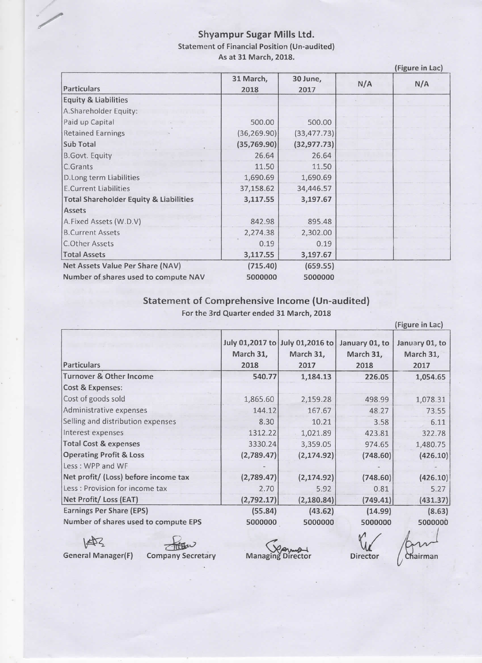## Shyampur Sugar Mills Ltd. Statement of Financial Position (Un-audited) As at 31 March, 2018.

|                                                   |                   |                  |     | (Figure in Lac) |  |
|---------------------------------------------------|-------------------|------------------|-----|-----------------|--|
| Particulars                                       | 31 March,<br>2018 | 30 June,<br>2017 | N/A | N/A             |  |
| <b>Equity &amp; Liabilities</b>                   |                   |                  |     |                 |  |
| A.Shareholder Equity:                             |                   |                  |     |                 |  |
| Paid up Capital                                   | 500.00            | 500.00           |     |                 |  |
| <b>Retained Earnings</b>                          | (36, 269.90)      | (33, 477.73)     |     |                 |  |
| Sub Total                                         | (35,769.90)       | (32, 977.73)     |     |                 |  |
| <b>B.Govt. Equity</b>                             | 26.64             | 26.64            |     |                 |  |
| C.Grants                                          | 11.50             | 11.50            |     |                 |  |
| D.Long term Liabilities                           | 1,690.69          | 1,690.69         |     |                 |  |
| <b>E.Current Liabilities</b>                      | 37,158.62         | 34,446.57        |     |                 |  |
| <b>Total Shareholder Equity &amp; Liabilities</b> | 3,117.55          | 3,197.67         |     |                 |  |
| Assets                                            |                   |                  |     |                 |  |
| A.Fixed Assets (W.D.V)                            | 842.98            | 895.48           |     |                 |  |
| <b>B.Current Assets</b>                           | 2,274.38          | 2,302.00         |     |                 |  |
| C.Other Assets                                    | 0.19              | 0.19             |     |                 |  |
| <b>Total Assets</b>                               | 3,117.55          | 3,197.67         |     |                 |  |
| Net Assets Value Per Share (NAV)                  | (715.40)          | (659.55)         |     |                 |  |
| Number of shares used to compute NAV              | 5000000           | 5000000          |     |                 |  |

Statement of Comprehensive Income (Un-audited)

For the 3rd Quarter ended 31 March, 2018

|                                      |                   |                                                      |                                     | (Figure in Lac)                     |
|--------------------------------------|-------------------|------------------------------------------------------|-------------------------------------|-------------------------------------|
| <b>Particulars</b>                   | March 31,<br>2018 | July 01,2017 to July 01,2016 to<br>March 31,<br>2017 | January 01, to<br>March 31,<br>2018 | January 01, to<br>March 31,<br>2017 |
| <b>Turnover &amp; Other Income</b>   | 540.77            | 1,184.13                                             | 226.05                              | 1,054.65                            |
| Cost & Expenses:                     |                   |                                                      |                                     |                                     |
| Cost of goods sold                   | 1,865.60          | 2,159.28                                             | 498.99                              | 1,078.31                            |
| Administrative expenses              | 144.12            | 167.67                                               | 48.27                               | 73.55                               |
| Selling and distribution expenses    | 8.30              | 10.21                                                | 3.58                                | 6.11                                |
| Interest expenses                    | 1312.22           | 1,021.89                                             | 423.81                              | 322.78                              |
| <b>Total Cost &amp; expenses</b>     | 3330.24           | 3,359.05                                             | 974.65                              | 1,480.75                            |
| <b>Operating Profit &amp; Loss</b>   | (2,789.47)        | (2, 174.92)                                          | (748.60)                            | (426.10)                            |
| Less: WPP and WF                     |                   |                                                      |                                     |                                     |
| Net profit/ (Loss) before income tax | (2,789.47)        | (2, 174.92)                                          | (748.60)                            | (426.10)                            |
| Less: Provision for income tax       | 2.70              | 5.92                                                 | 0.81                                | 5.27                                |
| Net Profit/Loss (EAT)                | (2,792.17)        | (2, 180.84)                                          | (749.41)                            | (431.37)                            |
| Earnings Per Share (EPS)             | (55.84)           | (43.62)                                              | (14.99)                             | (8.63)                              |
| Number of shares used to compute EPS | 5000000           | 5000000                                              | 5000000                             | 5000000                             |

General Manager(F)

.,

 $\overline{\mathbb{R}}$ <br>
ral Manager(F) Company Secretary

Managing Director Director

Chairman